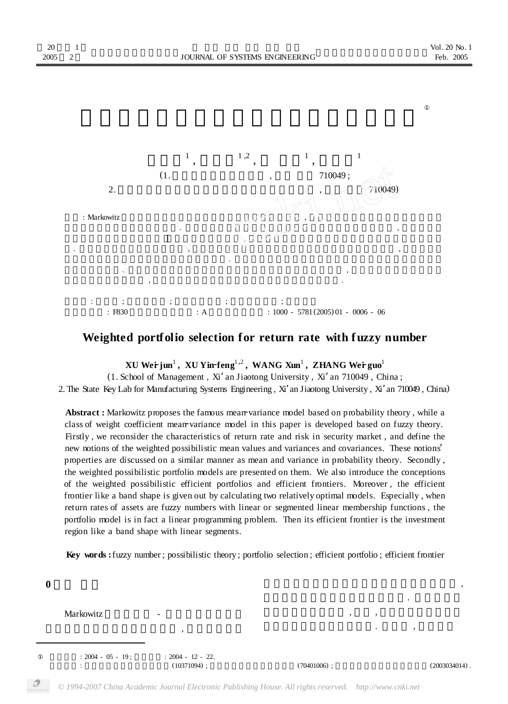

## **Weighted portfolio selection for return rate with f uzzy number**

**XU Weii jun<sup>1</sup>, XU Yin-feng<sup>1,2</sup>, WANG Xun<sup>1</sup>, ZHANG Wei guo<sup>1</sup><br>chool of Management Xi' an Lieotong University Xi' an 710049. Ch** 

(1. School of Management , Xi'an Jiaotong University , Xi'an 710049 , China ;

2. The State Key Lab for Manufacturing Systems Engineering , Xi'an Jiaotong University , Xi'an 710049 , China)

Abstract : Markowitz proposes the famous mean variance model based on probability theory, while a class of weight coefficient mean variance model in this paper is developed based on fuzzy theory. Firstly , we reconsider the characteristics of return rate and risk in security market , and define the new notions of the weighted possibilistic mean values and variances and covariances. These notions' properties are discussed on a similar manner as mean and variance in probability theory. Secondly , the weighted possibilistic portfolio models are presented on them. We also introduce the conceptions of the weighted possibilistic efficient portfolios and efficient frontiers. Moreover , the efficient frontier like a band shape is given out by calculating two relatively optimal models. Especially , when return rates of assets are fuzzy numbers with linear or segmented linear membership functions , the portfolio model is in fact a linear programming problem. Then its efficient frontier is the investment region like a band shape with linear segments.

**Key words :**fuzzy number ; possibilistic theory ; portfolio selection ; efficient portfolio ; efficient frontier

**0 1** 

Markowitz

 $\overline{\phantom{a}}$ 

 $: 2004 - 05 - 19$  ;  $: 2004 - 12 - 22$ .  $(10371094)$  ;  $(70401006)$  ;  $(2003034014)$  .

 $\overline{\phantom{a}}$ 以期望收益率的方差作为投资风险. 但是这一方  $\,$  ,  $\,$  $\ddotsc$  , and  $\ddotsc$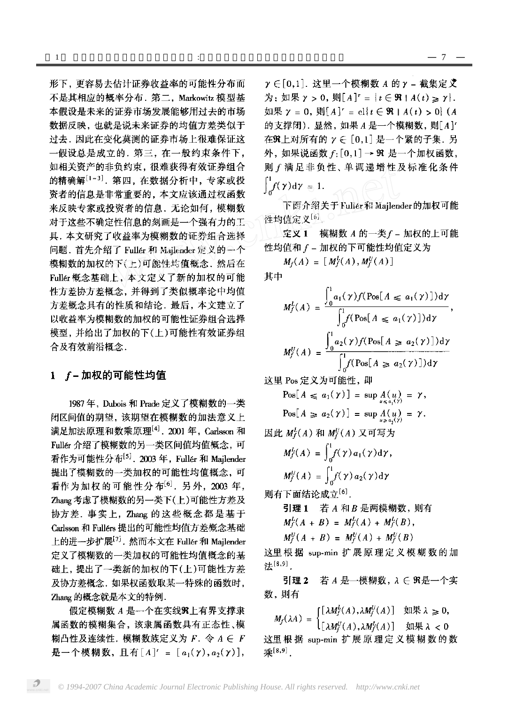形下, 更容易去估计证券收益率的可能性分布而 不是其相应的概率分布. 第二. Markowitz 模型基 本假设是未来的证券市场发展能够用过去的市场 数据反映,也就是说未来证券的均值方差类似于 过去,因此在变化莫测的证券市场上很难保证这 一假设总是成立的, 第三, 在一般约束条件下, 如相关资产的非负约束, 很难获得有效证券组合 的精确解[1~3]. 第四, 在数据分析中, 专家或投 资者的信息是非常重要的,本文应该通过权函数 来反映专家或投资者的信息. 无论如何, 模糊数 对于这些不确定性信息的刻画是一个强有力的工 具,本文研究了收益率为模糊数的证券组合选择 问题. 首先介绍了 Fuller 和 Majlender 定义的一个 模糊数的加权的下(上)可能性均值概念,然后在 Fuller 概念基础上, 本文定义了新的加权的可能 性方差协方差概念, 并得到了类似概率论中均值 方差概念具有的性质和结论。最后,本文建立了 以收益率为模糊数的加权的可能性证券组合选择 模型,并给出了加权的下(上)可能性有效证券组 合及有效前沿概念.

## 1 f-加权的可能性均值

1987年, Dubois 和 Prade 定义了模糊数的一类 闭区间值的期望,该期望在模糊数的加法意义上 满足加法原理和数乘原理[4]. 2001年, Carlsson 和 Fullér 介绍了模糊数的另一类区间值均值概念,可 看作为可能性分布<sup>[5]</sup>. 2003年, Fullér 和 Majlender 提出了模糊数的一类加权的可能性均值概念,可 看作为加权的可能性分布<sup>[6]</sup>. 另外, 2003年, Zhang 考虑了模糊数的另一类下(上)可能性方差及 协方差. 事实上, Zhang 的这些概念都是基于 Carlsson 和 Fullérs 提出的可能性均值方差概念基础 上的进一步扩展<sup>[7]</sup>. 然而本文在 Fullér 和 Majlender 定义了模糊数的一类加权的可能性均值概念的基 础上,提出了一类新的加权的下(上)可能性方差 及协方差概念. 如果权函数取某一特殊的函数时, Zhang 的概念就是本文的特例.

假定模糊数 A 是一个在实线SR上有界支撑隶 属函数的模糊集合,该隶属函数具有正态性、模 糊凸性及连续性. 模糊数族定义为 F. 令 A ∈ F 是一个模糊数, 且有 [A]' = [a<sub>1</sub>(y), a<sub>2</sub>(y)],

γ ∈ [0,1]. 这里一个模糊数 A 的 γ - 截集定义 为: 如果  $\gamma > 0$ , 则  $[A]^{r} = \{t \in \Re \mid A(t) \geq \gamma\}.$ 如果  $\gamma = 0$ , 则 $[A]^{r} = c1$ ;  $t \in \Re \mid A(t) > 0$ ; (A 的支撑闭). 显然, 如果 A 是一个模糊数, 则[A]<sup>r</sup> 在3R上对所有的  $\gamma \in [0,1]$ 是一个紧的子集. 另 外, 如果说函数 f: [0,1] → 9R 是一个加权函数, 则 f 满足非负性、单调递增性及标准化条件  $\int_{-}^{1} f(\gamma) d\gamma = 1.$ 

下面介绍关于 Fuller 和 Mailender 的加权可能 往均值定义[6]。

定义 1 模糊数 A 的一类 f - 加权的上可能 性均值和 f - 加权的下可能性均值定义为

 $M_f(A) = [M_f^L(A), M_f^U(A)]$ 

其中

$$
M_f^L(A) = \frac{\int_0^1 a_1(\gamma) f(\text{Pos}[A \le a_1(\gamma)]) d\gamma}{\int_0^1 f(\text{Pos}[A \le a_1(\gamma)]) d\gamma},
$$
  

$$
M_f^U(A) = \frac{\int_0^1 a_2(\gamma) f(\text{Pos}[A \ge a_2(\gamma)]) d\gamma}{\int_0^1 f(\text{Pos}[A \ge a_2(\gamma)]) d\gamma}
$$

这里 Pos 定义为可能性, 即

$$
\text{Pos}[A \leq a_1(\gamma)] = \sup_{u \leq a_1(\gamma)} A(u) = \gamma,
$$
  

$$
\text{Pos}[A \geq a_2(\gamma)] = \sup_{u \geq a_1(\gamma)} A(u) = \gamma.
$$

因此  $M_f^L(A)$  和  $M_f^U(A)$  又可写为

$$
M_f^L(A) = \int_0^1 f(\gamma) a_1(\gamma) d\gamma,
$$
  

$$
M_f^U(A) = \int_{-\infty}^1 f(\gamma) a_2(\gamma) d\gamma
$$

则有下面结论成立<sup>[6]</sup>.

引理 1 若 A 和 B 是两模糊数, 则有  $M_f^L(A + B) = M_f^L(A) + M_f^L(B)$ ,  $M_f^U(A + B) = M_f^U(A) + M_f^U(B)$ 

这里根据 sup-min 扩展原理定义模糊数的加 法[8,9]

若 A 是一模糊数, λ ∈ ያR是一个实 引理 2 数,则有

$$
M_f(\lambda A) = \begin{cases} [\lambda M_f^L(A), \lambda M_f^U(A)] & \text{in } \mathbb{R} \lambda \geq 0, \\ [\lambda M_f^U(A), \lambda M_f^L(A)] & \text{in } \mathbb{R} \lambda < 0 \end{cases}
$$

这里根据 sup-min 扩展原理定义模糊数的数 乘[8,9]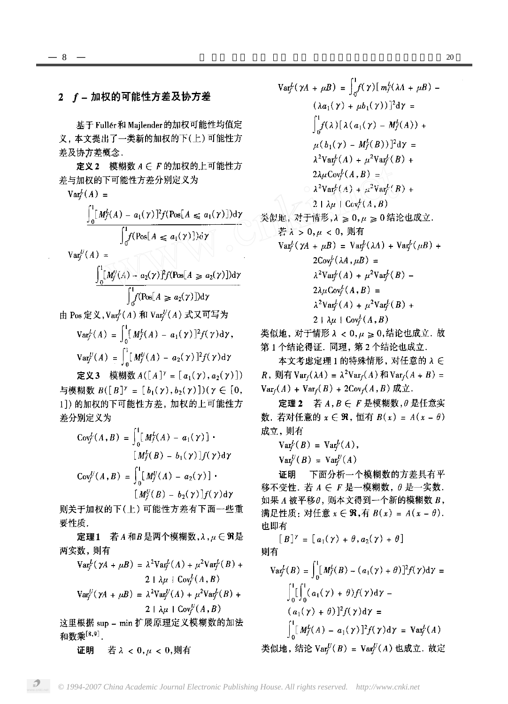## 2 f-加权的可能性方差及协方差

基于 Fuller 和 Majlender 的加权可能性均值定 义,本文提出了一类新的加权的下(上)可能性方 差及协方差概念.

定义2 模糊数 A E F 的加权的上可能性方 差与加权的下可能性方差分别定义为

 $Var_f^L(A)$  =

$$
\int_0^1 [M_f^L(A) - a_1(\gamma)]^2 f(\text{Pos}[A \le a_1(\gamma)]) d\gamma
$$
  

$$
\int_0^1 f(\text{Pos}[A \le a_1(\gamma)]) d\gamma
$$

 $Var_f^U(A) =$ 

$$
\frac{\int_0^1 [M'_f(A) - a_2(\gamma)]^2 f(\text{Pos}[A \ge a_2(\gamma)]) \, dy}{\int_0^1 f(\text{Pos}[A \ge a_2(\gamma)]) \, dy}
$$

由 Pos 定义, Var $^L(A)$  和 Var $^U(A)$  式又可写为

$$
\operatorname{Var}_f^L(A) = \int_0^1 [M_f^L(A) - a_1(\gamma)]^2 f(\gamma) d\gamma,
$$
  

$$
\operatorname{Var}_f^U(A) = \int_0^1 [M_f^U(A) - a_2(\gamma)]^2 f(\gamma) d\gamma
$$

定义3 模糊数  $A([A]^{\gamma} = [a_1(\gamma), a_2(\gamma)])$ 与模糊数  $B([B]^{\gamma} = [b_1(\gamma), b_2(\gamma)])(\gamma \in [0,$ 1]) 的加权的下可能性方差, 加权的上可能性方 差分别定义为

$$
Cov_f^L(A, B) = \int_0^1 [M_f^L(A) - a_1(\gamma)] \cdot
$$
  
\n
$$
[M_f^L(B) - b_1(\gamma)]f(\gamma)d\gamma
$$
  
\n
$$
Cov_f^U(A, B) = \int_0^1 [M_f^U(A) - a_2(\gamma)] \cdot
$$
  
\n
$$
[M_f^U(B) - b_2(\gamma)]f(\gamma)d\gamma
$$

则关于加权的下(上)可能性方差有下面一些重 要性质.

定理1 若A和B是两个模糊数, a, µ E ff是 两实数,则有

$$
Var_f^L(\gamma A + \mu B) = \lambda^2 Var_f^L(A) + \mu^2 Var_f^L(B) + 2 \lambda \mu + Cov_f^L(A, B)
$$
  
\n
$$
Var_f^U(\gamma A + \mu B) = \lambda^2 Var_f^U(A) + \mu^2 Var_f^L(B) + 2 \lambda \mu + Cov_f^U(A, B)
$$
  
\n
$$
Var_f^U(A, B)
$$
  
\nH H H:  $\text{sum}$   $\text{min}$  H:  $\mathbb{R} \to \mathbb{R}$  H:  $\mathbb{R} \to \mathbb{R}$  H:  $\mathbb{R} \to \mathbb{R}$ 

这里根据 sup – min 扩展原理定义模糊数的加法 和数乘[8,9].

若λ < 0,μ < 0,则有 证明

$$
Var_f^L(\gamma A + \mu B) = \int_0^1 f(\gamma) [m_f^L(\lambda A + \mu B) - (\lambda a_1(\gamma) + \mu b_1(\gamma))]^2 d\gamma =
$$
  

$$
\int_0^1 f(\lambda) [\lambda (a_1(\gamma) - M_f^L(A)) + \mu (b_1(\gamma) - M_f^L(B))]^2 d\gamma =
$$
  

$$
\lambda^2 Var_f^L(A) + \mu^2 Var_f^L(B) +
$$
  

$$
2\lambda \mu Cov_f^L(A, B) =
$$
  

$$
\lambda^2 Var_f^L(A) + \mu^2 Var_f^L(B) +
$$
  

$$
2 \lambda \mu \Gamma Cov_f^L(A, B)
$$
  

若 λ > 0,μ < 0, 则有  $Var_f^L(\gamma A + \mu B) = Var_f^L(\lambda A) + Var_f^L(\mu B) +$  $2Cov_f^L(\lambda A, \mu B)$  =  $\lambda^2 \text{Var}_f^L(A) + \mu^2 \text{Var}_f^L(B) 2\lambda\mu\text{Cov}^L_f(A, B)$  =  $\lambda^2 \text{Var}_f^L(A) + \mu^2 \text{Var}_f^L(B) +$  $2 \mid \lambda \mu \mid \text{Cov}^L_f(A, B)$ 

类似地, 对于情形 λ < 0, μ ≥ 0,结论也成立. 故 第1个结论得证. 同理, 第2个结论也成立.

本文考虑定理 1 的特殊情形, 对任意的 λ E R,  $\mathfrak{M}$   $\mathfrak{f}$  Var<sub>f</sub>( $\lambda A$ ) =  $\lambda^2$ Var<sub>f</sub>( $A$ )  $\mathfrak{f}$ Var<sub>f</sub>( $A + B$ ) =  $Var_f(A) + Var_f(B) + 2Cov_f(A, B) \nexists \Sigma.$ 

定理 2 若  $A, B \in F$  是模糊数,  $\theta$  是任意实 数. 若对任意的  $x \in \mathfrak{R}$ , 恒有  $B(x) = A(x - \theta)$ 成立,则有

$$
\operatorname{Var}_f^L(B) = \operatorname{Var}_f^L(A),
$$

 $Var_f^U(B) = Var_f^U(A)$ 

下面分析一个模糊数的方差具有平 证明 移不变性. 若  $A \in F$ 是一模糊数,  $\theta$ 是一实数. 如果 A 被平移θ, 则本文得到一个新的模糊数 B, 满足性质: 对任意  $x \in \mathbb{R}$ , 有  $B(x) = A(x - \theta)$ . 也即有

 $[B]^{\gamma} = [a_1(\gamma) + \theta, a_2(\gamma) + \theta]$ 则有

$$
Var_f^L(B) = \int_0^1 [M_f^L(B) - (a_1(\gamma) + \theta)]^2 f(\gamma) d\gamma =
$$
  

$$
\int_0^1 [ \int_0^1 (a_1(\gamma) + \theta) f(\gamma) d\gamma - (a_1(\gamma) + \theta)]^2 f(\gamma) d\gamma =
$$
  

$$
\int_0^1 [M_f^L(A) - a_1(\gamma)]^2 f(\gamma) d\gamma = Var_f^L(A)
$$
  
operator 
$$
Var_f^U(B) = Var_f^U(A) \text{ tLüc.} \text{tV.} \text{tV.} \text{tV.} \text{tV.} \text{tV.} \text{tV.} \text{tV.} \text{tV.} \text{tV.} \text{tV.} \text{tV.} \text{tV.} \text{tV.} \text{tV.} \text{tV.} \text{tV.} \text{tV.} \text{tV.} \text{tV.} \text{tV.} \text{tV.} \text{tV.} \text{tV.} \text{tV.} \text{tV.} \text{tV.} \text{tV.} \text{tV.} \text{tV.} \text{tV.} \text{tV.} \text{tV.} \text{tV.} \text{tV.} \text{tV.} \text{tV.} \text{tV.} \text{tV.} \text{tV.} \text{tV.} \text{tV.} \text{tV.} \text{tV.} \text{tV.} \text{tV.} \text{tV.} \text{tV.} \text{tV.} \text{tV.} \text{tV.} \text{tV.} \text{tV.} \text{tV.} \text{tV.} \text{tV.} \text{tV.} \text{tV.} \text{tV.} \text{tV.} \text{tV.} \text{tV.} \text{tV.} \text{tV.} \text{tV.} \text{tV.} \text{tV.} \text{tV.} \text{tV.} \text{tV.} \text{tV.} \text{tV.} \text{tV.} \text{tV.} \text{tV.} \text{tV.} \text{tV.} \text{tV.} \text{tV.} \text{tV.} \text{tV.} \text{tV.} \text{tV.} \text
$$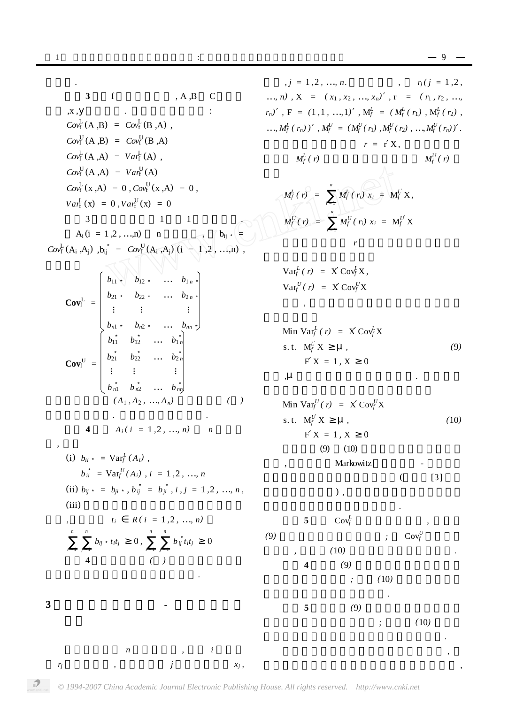3 
$$
f
$$
 ,  $A, B, C$  ,  $h$  ,  $z = (x_1, x_2, ..., x_n)$ ,  $z = (x_1, x_2, ..., x_n)$ ,  $z = (x_1, x_2, ..., x_n)$ ,  $z = (x_1, x_2, ..., x_n)$ ,  $z = (x_1, x_2, ..., x_n)$ ,  $z = (x_1, x_2, ..., x_n)$ ,  $z = (x_1, x_2, ..., x_n)$ ,  $z = (x_1, x_2, ..., x_n)$ ,  $z = (x_1, x_2, ..., x_n)$ ,  $z = (x_1, x_2, ..., x_n)$ ,  $z = (x_1, x_2, ..., x_n)$ ,  $z = (x_1, x_2, ..., x_n)$ ,  $z = (x_1, x_2, ..., x_n)$ ,  $z = (x_1, x_2, ..., x_n)$ ,  $z = (x_1, x_2, ..., x_n)$ ,  $z = (x_1, x_2, ..., x_n)$ ,  $z = (x_1, x_2, ..., x_n)$ ,  $z = (x_1, x_2, ..., x_n)$ ,  $z = (x_1, x_2, ..., x_n)$ ,  $z = (x_1, x_2, ..., x_n)$ ,  $z = (x_1, x_2, ..., x_n)$ ,  $z = (x_1, x_2, ..., x_n)$ ,  $z = (x_1, x_2, ..., x_n)$ ,  $z = (x_1, x_2, ..., x_n)$ ,  $z = (x_1, x_2, ..., x_n)$ ,  $z = (x_1, x_2, ..., x_n)$ ,  $z = (x_1, x_2, ..., x_n)$ ,  $z = (x_1, x_2, ..., x_n)$ ,  $z = (x_1, x_2, ..., x_n)$ ,  $z = (x_1, x_2, ..., x_n)$ ,  $z = (x_1, x_2, ..., x_n)$ ,  $z = (x_1, x_2, ..., x_n)$ ,  $z = (x_1, x_2, ..., x_n)$ ,  $z = (x_1, x_2, ..., x_n)$ ,  $z = (x_1, x_2, ..., x_n)$ ,  $z = (x_1, x_2, ..., x_n)$ ,  $z = (x_1, x_2, ..., x_n)$ 

 $j = 1, 2, ..., n$ .  $r_j$  (  $j = 1, 2$  , ..., *n*),  $X = (x_1, x_2, ..., x_n)$ ,  $r = (r_1, r_2, ...,$ ),  $F = (1,1, ..., 1)$ ,  $M_f^L = (M_f^L(r_1), M_f^L(r_2)$ , )) ,  $M_f^U = (M_f^U(r_1), M_f^U(r_2), ..., M_f^U(r_n))$  .  $r = r X$ ,  $M_f^U(r)$  $(r) =$ *n*  $M_f^L(r_i) x_i = M_f^L X$ ,  $(r) =$ *n*  $M_f^U(r_i) x_i = M_f^U X$  $r$  and  $r$  or  $\mathcal{R}$ 

$$
\operatorname{Var}_f^L(r) = X \operatorname{Cov}_f^L X,
$$
  

$$
\operatorname{Var}_f^U(r) = X \operatorname{Cov}_f^U X
$$

$$
\begin{aligned}\n\text{Min Var}_{f}^{L}(r) &= X \, \text{Cov}_{f}^{L} X \\
\text{s.t. } M_{f}^{L} X & \mu, \\
&= 1, X \quad 0 \\
\mu & \tag{9} \\
\end{aligned}
$$

Min Var<sub>f</sub><sup>U</sup> (*r*) = X Cov<sub>f</sub><sup>U</sup> X  
\ns.t. M<sub>f</sub><sup>U</sup> X 
$$
\mu
$$
, (10)  
\nF X = 1, X 0  
\n(9) (10)  
\nMarkowitz\n( [3]

$$
f_{\rm{max}}
$$

(9)  
\n5 
$$
Cov_f^L
$$
  
\n7 (10)  
\n8 (10)  
\n9  
\n10  
\n11  
\n12 (10)  
\n13 (110)  
\n14 (9)  
\n15 (9)

此加权的可能性有效前沿不再是一条投资曲线 *,*

*© 1994-2007 China Academic Journal Electronic Publishing House. All rights reserved. http://www.cnki.net*

 $x_j$ ,

 $r_j$  ,  $j$   $x_j$ 

 $\mathcal{D}$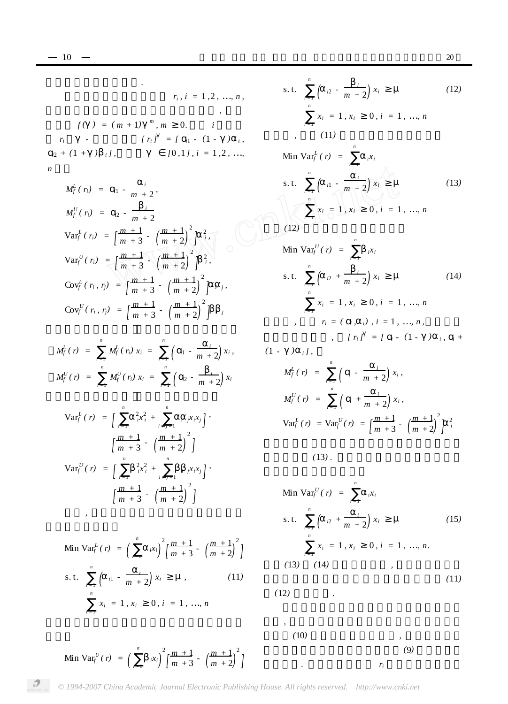而是一条带状投资区域*.*  $r_i$  $r_i$ ,  $i = 1, 2, ..., n$  $\mathcal{L}_{\mathcal{A}}$  $f(\ ) = (m+1)^m, m \neq 0.$  *i*  $r_i$  -  $[r_i] = [r_i] - (1 - )i,$  $i^{2}$  + (1 + )  $i^{j}$ ,  $[0,1]$ ,  $i = 1,2, ...,$  $n$ 

$$
M_f^L(r_i) = n - \frac{i}{m+2},
$$
  
\n
$$
M_f^U(r_i) = n - \frac{i}{m+2},
$$
  
\n
$$
Var_f^L(r_i) = \left[\frac{m+1}{m+3} - \left(\frac{m+1}{m+2}\right)^2\right]_i^2,
$$
  
\n
$$
Var_f^U(r_i) = \left[\frac{m+1}{m+3} - \left(\frac{m+1}{m+2}\right)^2\right]_i^2,
$$
  
\n
$$
Cov_f^L(r_i, r_j) = \left[\frac{m+1}{m+3} - \left(\frac{m+1}{m+2}\right)^2\right]_i^2;
$$
  
\n
$$
Cov_f^U(r_i, r_j) = \left[\frac{m+1}{m+3} - \left(\frac{m+1}{m+2}\right)^2\right]_i^2;
$$

$$
M_f^L(r) = \sum_{i=1}^n M_f^L(r_i) x_i = \sum_{i=1}^n \left( \begin{array}{cc} i & -\frac{i}{m+2} \end{array} \right) x_i,
$$
  

$$
M_f^U(r) = \sum_{i=1}^n M_f^U(r_i) x_i = \sum_{i=1}^n \left( \begin{array}{cc} i & -\frac{i}{m+2} \end{array} \right) x_i
$$

$$
\operatorname{Var}_{f}^{L}(r) = \int_{i=1}^{n} \frac{^{2}x_{i}^{2}}{^{i}x_{i}^{2}} + \int_{i=j=1}^{n} \frac{^{i}j^{x_{i}x_{j}}}{^{i}y_{i}^{2}} \cdot \left(\frac{m+1}{m+2}\right)^{2} \cdot \left(\frac{m+1}{m+2}\right)^{2} \cdot \left(\frac{m+1}{m+2}\right)^{i} \cdot \left(\frac{m+1}{m+3} - \left(\frac{m+1}{m+2}\right)^{2}\right)^{2}
$$

Min Var<sub>f</sub><sup>L</sup> (*r*) = 
$$
\left(\begin{array}{cc} \frac{n}{i-1} & i\frac{x_i}{m+1} - \frac{m+1}{m+2} \\ \frac{n}{m+2} & \frac{n+1}{m+2} \end{array}\right)^2
$$
  
s.t.  $\frac{n}{\left(\begin{array}{cc}i1 - \frac{i}{m+2} & x_i \end{array}\right) x_i}$   $\mu$ , (11)  
 $\frac{n}{\left(\begin{array}{cc}i1 & i1 \end{array}\right)} = 1, x_i$  0,  $i = 1, ..., n$ 

s.t. 
$$
\int_{i=1}^{n} \left( nz - \frac{i}{m+2} \right) x_i \mu
$$
 (12)  
\n $\int_{i=1}^{n} x_i = 1, x_i \quad 0, i = 1, ..., n$   
\n(11)  
\nMin Var<sub>f</sub><sup>L</sup> (r) =  $\int_{i=1}^{n} ix_i$   
\n  
\nS.t.  $\int_{i=1}^{n} \left( il - \frac{i}{m+2} \right) x_i \mu$  (13)  
\n $\int_{i=1}^{n} x_i = 1, x_i \quad 0, i = 1, ..., n$   
\n(12)  
\nMin Var<sub>f</sub><sup>U</sup> (r) =  $\int_{i=1}^{n} ix_i$   
\n  
\ns.t.  $\int_{i=1}^{n} \left( iz + \frac{i}{m+2} \right) x_i \mu$  (14)  
\n $\int_{i=1}^{n} x_i = 1, x_i \quad 0, i = 1, ..., n$   
\n $\int_{i=1}^{n} r_i = (\int_{i=1}^{n} i \cdot (1 - \int_{i=1}^{n} i + (1 - \int_{i=1}^{n} i \cdot (1 - \int_{i=1}^{n} i + (1 - \int_{i=1}^{n} i \cdot (1 - \int_{i=1}^{n} i \cdot (1 - \int_{i=1}^{n} i + (1 - \int_{i=1}^{n} i \cdot (1 - \int_{i=1}^{n} i \cdot (1 - \int_{i=1}^{n} i \cdot (1 - \int_{i=1}^{n} i \cdot (1 - \int_{i=1}^{n} i \cdot (1 - \int_{i=1}^{n} i \cdot (1 - \int_{i=1}^{n} i \cdot (1 - \int_{i=1}^{n} i \cdot (1 - \int_{i=1}^{n} i \cdot (1 - \int_{i=1}^{n} i \cdot (1 - \int_{i=1}^{n} i \cdot (1 - \int_{i=1}^{n} i \cdot (1 - \int_{i=1}^{n} i \cdot (1 - \int_{i=1}^{n} i \cdot (1 - \int_{i=1}^{n} i \cdot (1 - \int_{i=1}^{n} i \cdot (1 - \int_{i=1}^{n} i \cdot (1 - \int_{i=1}^{n} i \cdot (1 - \int_{i=1}^{n}$ 

$$
M_f^L(r) = \int_{i=1}^n \left( i - \frac{i}{m+2} \right) x_i,
$$
  
\n
$$
M_f^U(r) = \int_{i=1}^n \left( i + \frac{i}{m+2} \right) x_i,
$$
  
\n
$$
Var_f^L(r) = Var_f^U(r) = \left[ \frac{m+1}{m+3} - \left( \frac{m+1}{m+2} \right)^2 \right]^2.
$$

$$
(13).
$$

Min Var<sub>j</sub><sup>U</sup>(r) = 
$$
ix_i
$$
  
\ns.t. 
$$
\int_{i=1}^{n} \left( z^2 + \frac{i}{m+2} \right) x_i \quad \mu
$$
(15)  
\n
$$
\int_{i=1}^{n} x_i = 1, x_i \quad 0, i = 1, ..., n.
$$
(13) (14)

 $\lambda$ 合模型*(*10*)* 的有效投资组合曲线*,* 带状上边缘曲 线为加权的上可能性证券组合模型*(*9*)* 的有效投资 组合曲线*.* 如果资产收益率 *r<sup>i</sup>* 是具有线性或分段

*n*

 $(12)$ 

 $\text{Min Var}_f^U(r) = \left(\frac{r}{r}\right)^{r}$ *n*  $\left(\begin{array}{cc} n & i \ x_i \end{array}\right)^2$ *[ m +* 1  $\frac{m+1}{m+3}$  -  $\left(\frac{m+1}{m+2}\right)$ *m +* 2*)*

2 *]*